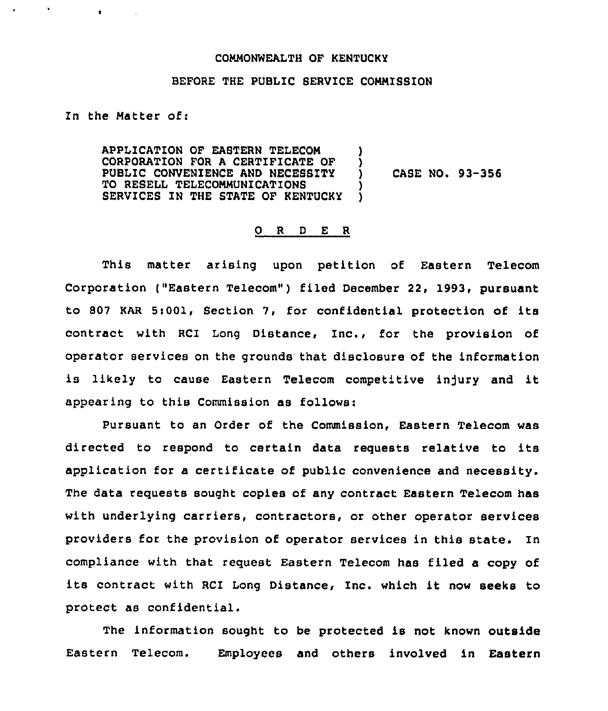## COMMONWEALTH OF KENTUCKY

## BEFORE THE PUBLIC SERVICE COMMISSION

In the Matter of:

 $\bullet$ 

 $\langle \mathbf{h} \rangle$ 

APPLICATION OF EASTERN TELECOM )<br>CORPORATION FOR A CERTIFICATE OF ) CORPORATION FOR A CERTIFICATE OF )<br>PUBLIC CONVENIENCE AND NECESSITY PUBLIC CONVENIENCE AND NECESSITY TO RESELL TELECOMMUNICATIONS  $\begin{array}{c} \texttt{j} \\ \texttt{S}} \end{array}$ SERVICES IN THE STATE OF KENTUCKY

CASE NO. 93-356

## O R D E R

This matter arising upon petition of Eastern Telecom Corporation ("Eastern Telecom") filed December 22, 1993, pursuant to 807 KAR 5t001, Section 7, for confidential protection of its contract with RCI Long Distance, Inc., for the provision of operator services on the grounds that disclosure of the information is likely to cause Eastern Telecom competitive injury and it appearing to this Commission as follows:

Pursuant to an Order of the Commission, Eastern Telecom was directed to respond to certain data requests relative to its application for a certificate of public convenience and necessity. The data requests sought copies of any contract Eastern Telecom has with underlying carriers, contractors, or other operator services providers for the provision of operator services in this state. In compliance with that request Eastern Telecom has filed a copy of its contract with RCI Long Distance, Inc. which it now seeks to protect as confidential.

The information sought to be protected is not known outside Eastern Telecom. Employees and others involved in Eastern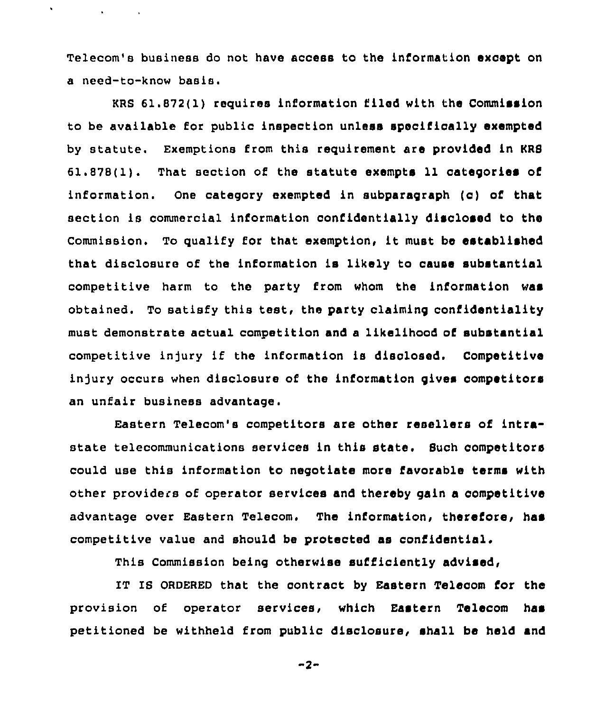Telecom's business do not have access to the information except on a need-to-know basis.

and the company

KRS 61.872(1) requires information i'lied with the Commission to be available for public inspection unless specifically exempted by statute. Exemptions from this requirement are provided in KRS 61.878(1). That section of the statute exempts 11 categories of information. One category exempted in subparagraph (c) of that section is commercial information confidentially disclosed to the Commission. To qualify for that exemption, it must be established that disclosure of the information is likely to cause substantial competitive harm to the party from whom the information was obtained. To satisfy this test, the party claiming confidentiality must demonstrate actual competition and a likelihood of substantial competitive injury if the information is disclosed. Competitive injury occurs when disclosure of the information gives oompetitors an unfair business advantage.

Eastern Telecom's competitors are other resellers of intrastate telecommunications services in this state. Such competitors could use this information to negotiate more favorable terms with other providers of operator services and thereby gain a competitive advantage over Eastern Telecom. The information, therefore, has competitive value and should be protected as confidential.

This Commission being otherwise sufficiently advised,

IT IS ORDERED that the contract by Eastern Telecom for the provision of operator services, which Eastern Telecom has petitioned be withheld from public disclosure, shall be held and

 $-2-$